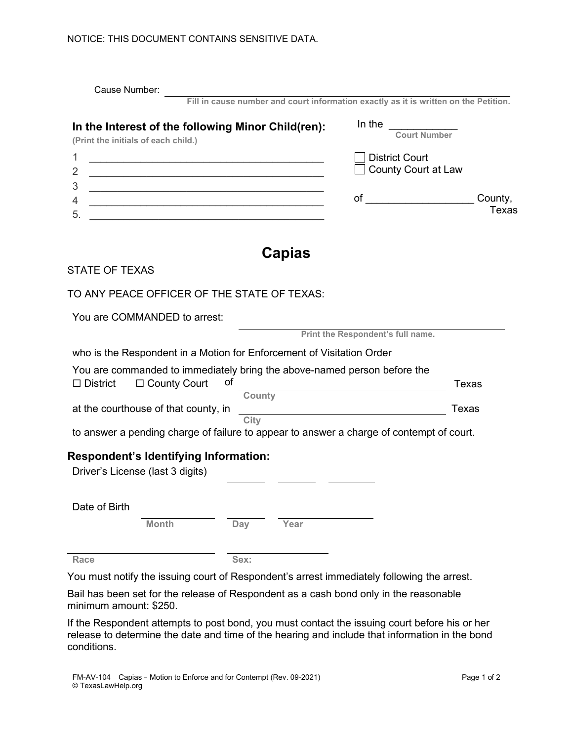| Cause Number:                                                                                                             |                                                             |                                                                                          |                     |  |  |
|---------------------------------------------------------------------------------------------------------------------------|-------------------------------------------------------------|------------------------------------------------------------------------------------------|---------------------|--|--|
|                                                                                                                           |                                                             | Fill in cause number and court information exactly as it is written on the Petition.     |                     |  |  |
| In the Interest of the following Minor Child(ren):<br>(Print the initials of each child.)                                 |                                                             | In the                                                                                   | <b>Court Number</b> |  |  |
| 1                                                                                                                         | <u> 1989 - Johann John Stone, markin fizikar (h. 1989).</u> | <b>District Court</b>                                                                    |                     |  |  |
| 2                                                                                                                         |                                                             | <b>County Court at Law</b>                                                               |                     |  |  |
| 3<br><u> 1989 - Johann Barbara, marka a shekara tsa 1989 - An tsa 1989 - An tsa 1989 - An tsa 1989 - An tsa 1989 - An</u> |                                                             | of $\overline{\qquad \qquad }$                                                           | County,             |  |  |
| 4<br><u> 1989 - Johann Barbara, martxa alemaniar arg</u><br>5.                                                            |                                                             |                                                                                          | Texas               |  |  |
|                                                                                                                           |                                                             |                                                                                          |                     |  |  |
|                                                                                                                           | Capias                                                      |                                                                                          |                     |  |  |
| <b>STATE OF TEXAS</b>                                                                                                     |                                                             |                                                                                          |                     |  |  |
| TO ANY PEACE OFFICER OF THE STATE OF TEXAS:                                                                               |                                                             |                                                                                          |                     |  |  |
| You are COMMANDED to arrest:                                                                                              |                                                             |                                                                                          |                     |  |  |
|                                                                                                                           |                                                             | Print the Respondent's full name.                                                        |                     |  |  |
| who is the Respondent in a Motion for Enforcement of Visitation Order                                                     |                                                             |                                                                                          |                     |  |  |
|                                                                                                                           |                                                             | You are commanded to immediately bring the above-named person before the                 |                     |  |  |
| $\Box$ County Court<br>$\Box$ District                                                                                    | оf<br>County                                                |                                                                                          | <b>Texas</b>        |  |  |
| at the courthouse of that county, in                                                                                      | Texas                                                       |                                                                                          |                     |  |  |
|                                                                                                                           | City                                                        | to answer a pending charge of failure to appear to answer a charge of contempt of court. |                     |  |  |
| <b>Respondent's Identifying Information:</b>                                                                              |                                                             |                                                                                          |                     |  |  |
| Driver's License (last 3 digits)                                                                                          |                                                             |                                                                                          |                     |  |  |
| Date of Birth                                                                                                             |                                                             |                                                                                          |                     |  |  |
| <b>Month</b>                                                                                                              | <b>Day</b><br>Year                                          |                                                                                          |                     |  |  |
|                                                                                                                           |                                                             |                                                                                          |                     |  |  |

You must notify the issuing court of Respondent's arrest immediately following the arrest.

Bail has been set for the release of Respondent as a cash bond only in the reasonable minimum amount: \$250.

If the Respondent attempts to post bond, you must contact the issuing court before his or her release to determine the date and time of the hearing and include that information in the bond conditions.